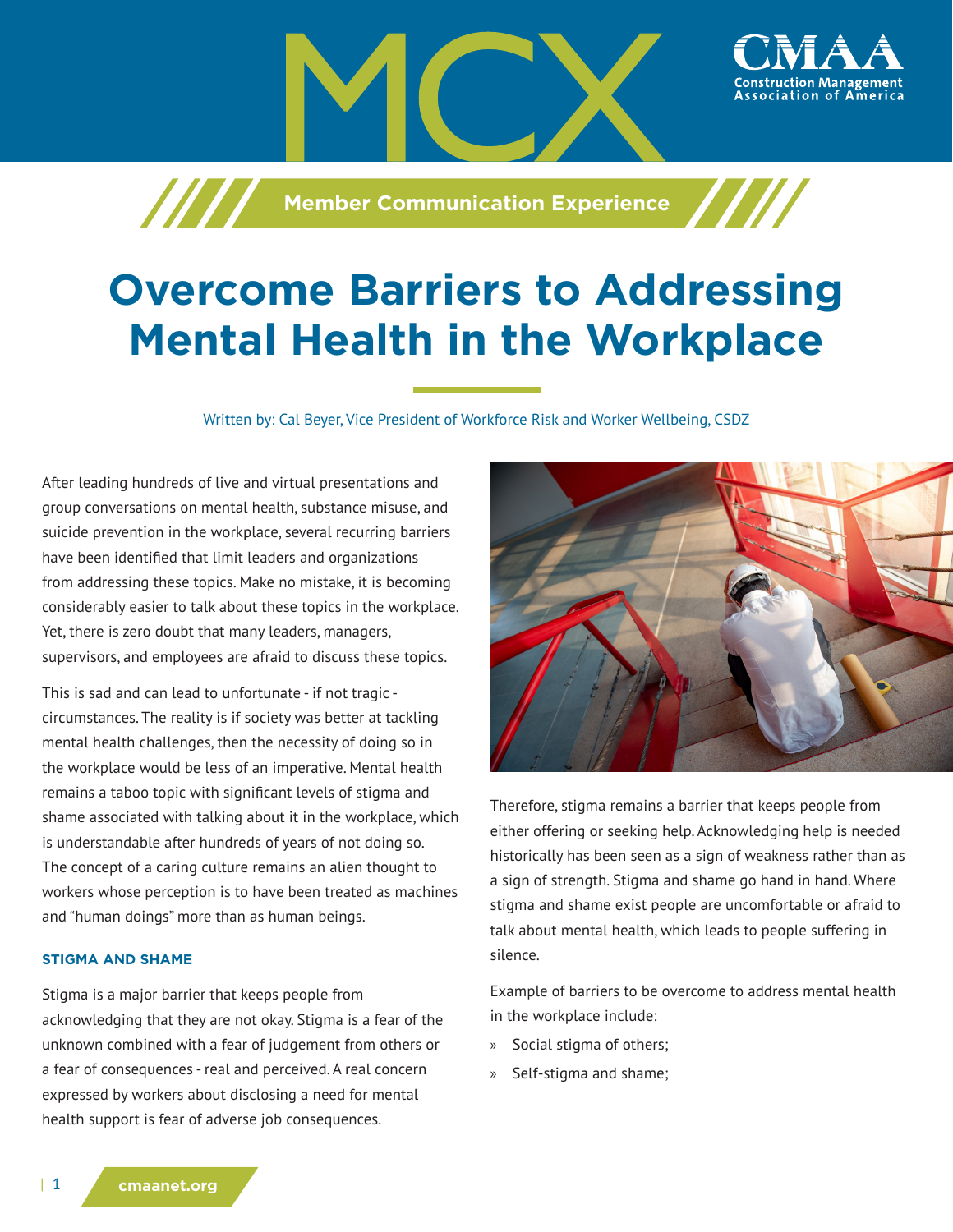**Member Communication Experience** 

# **Overcome Barriers to Addressing Mental Health in the Workplace**

Written by: Cal Beyer, Vice President of Workforce Risk and Worker Wellbeing, CSDZ

After leading hundreds of live and virtual presentations and group conversations on mental health, substance misuse, and suicide prevention in the workplace, several recurring barriers have been identified that limit leaders and organizations from addressing these topics. Make no mistake, it is becoming considerably easier to talk about these topics in the workplace. Yet, there is zero doubt that many leaders, managers, supervisors, and employees are afraid to discuss these topics.

This is sad and can lead to unfortunate - if not tragic circumstances. The reality is if society was better at tackling mental health challenges, then the necessity of doing so in the workplace would be less of an imperative. Mental health remains a taboo topic with significant levels of stigma and shame associated with talking about it in the workplace, which is understandable after hundreds of years of not doing so. The concept of a caring culture remains an alien thought to workers whose perception is to have been treated as machines and "human doings" more than as human beings.

#### **STIGMA AND SHAME**

Stigma is a major barrier that keeps people from acknowledging that they are not okay. Stigma is a fear of the unknown combined with a fear of judgement from others or a fear of consequences - real and perceived. A real concern expressed by workers about disclosing a need for mental health support is fear of adverse job consequences.



ssociation of

Therefore, stigma remains a barrier that keeps people from either offering or seeking help. Acknowledging help is needed historically has been seen as a sign of weakness rather than as a sign of strength. Stigma and shame go hand in hand. Where stigma and shame exist people are uncomfortable or afraid to talk about mental health, which leads to people suffering in silence.

Example of barriers to be overcome to address mental health in the workplace include:

- » Social stigma of others;
- » Self-stigma and shame;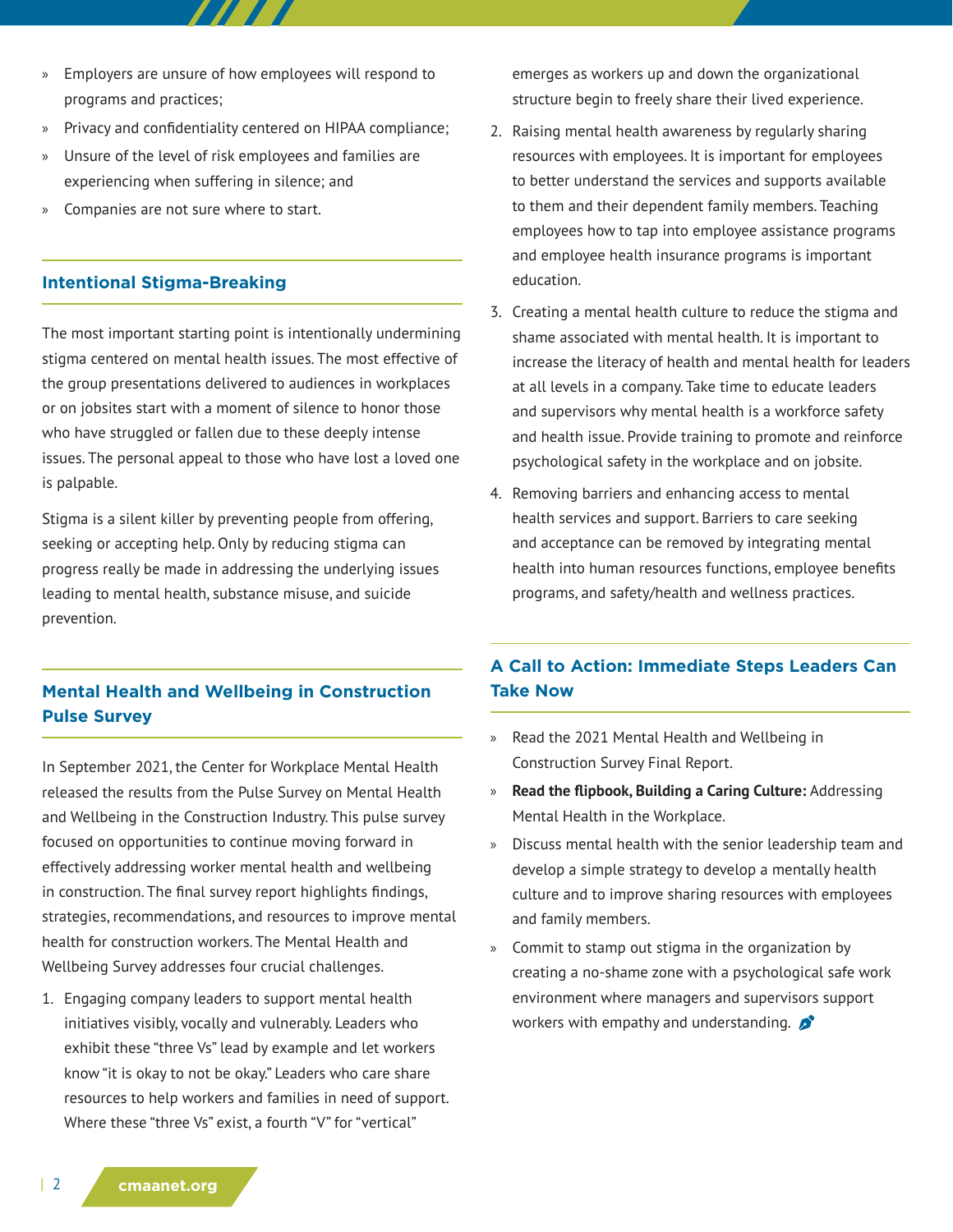- » Employers are unsure of how employees will respond to programs and practices;
- » Privacy and confidentiality centered on HIPAA compliance;
- » Unsure of the level of risk employees and families are experiencing when suffering in silence; and
- » Companies are not sure where to start.

### **Intentional Stigma-Breaking**

The most important starting point is intentionally undermining stigma centered on mental health issues. The most effective of the group presentations delivered to audiences in workplaces or on jobsites start with a moment of silence to honor those who have struggled or fallen due to these deeply intense issues. The personal appeal to those who have lost a loved one is palpable.

Stigma is a silent killer by preventing people from offering, seeking or accepting help. Only by reducing stigma can progress really be made in addressing the underlying issues leading to mental health, substance misuse, and suicide prevention.

## **Mental Health and Wellbeing in Construction Pulse Survey**

In September 2021, the Center for Workplace Mental Health released the results from the Pulse Survey on Mental Health and Wellbeing in the Construction Industry. This pulse survey focused on opportunities to continue moving forward in effectively addressing worker mental health and wellbeing in construction. The final survey report highlights findings, strategies, recommendations, and resources to improve mental health for construction workers. The Mental Health and Wellbeing Survey addresses four crucial challenges.

1. Engaging company leaders to support mental health initiatives visibly, vocally and vulnerably. Leaders who exhibit these "three Vs" lead by example and let workers know "it is okay to not be okay." Leaders who care share resources to help workers and families in need of support. Where these "three Vs" exist, a fourth "V" for "vertical"

emerges as workers up and down the organizational structure begin to freely share their lived experience.

- 2. Raising mental health awareness by regularly sharing resources with employees. It is important for employees to better understand the services and supports available to them and their dependent family members. Teaching employees how to tap into employee assistance programs and employee health insurance programs is important education.
- 3. Creating a mental health culture to reduce the stigma and shame associated with mental health. It is important to increase the literacy of health and mental health for leaders at all levels in a company. Take time to educate leaders and supervisors why mental health is a workforce safety and health issue. Provide training to promote and reinforce psychological safety in the workplace and on jobsite.
- 4. Removing barriers and enhancing access to mental health services and support. Barriers to care seeking and acceptance can be removed by integrating mental health into human resources functions, employee benefits programs, and safety/health and wellness practices.

## **A Call to Action: Immediate Steps Leaders Can Take Now**

- » Read the 2021 Mental Health and Wellbeing in Construction Survey Final Report.
- » **Read the flipbook, Building a Caring Culture:** Addressing Mental Health in the Workplace.
- » Discuss mental health with the senior leadership team and develop a simple strategy to develop a mentally health culture and to improve sharing resources with employees and family members.
- » Commit to stamp out stigma in the organization by creating a no-shame zone with a psychological safe work environment where managers and supervisors support workers with empathy and understanding.  $\mathcal{L}$